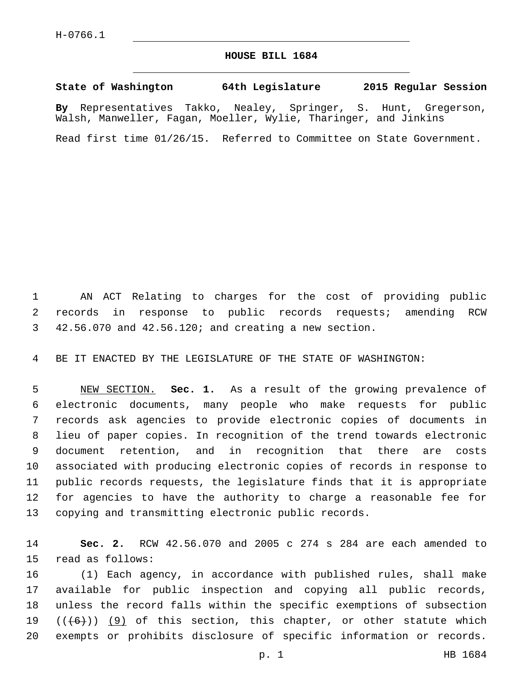## **HOUSE BILL 1684**

**State of Washington 64th Legislature 2015 Regular Session**

**By** Representatives Takko, Nealey, Springer, S. Hunt, Gregerson, Walsh, Manweller, Fagan, Moeller, Wylie, Tharinger, and Jinkins

Read first time 01/26/15. Referred to Committee on State Government.

 AN ACT Relating to charges for the cost of providing public records in response to public records requests; amending RCW 42.56.070 and 42.56.120; and creating a new section.

BE IT ENACTED BY THE LEGISLATURE OF THE STATE OF WASHINGTON:

 NEW SECTION. **Sec. 1.** As a result of the growing prevalence of electronic documents, many people who make requests for public records ask agencies to provide electronic copies of documents in lieu of paper copies. In recognition of the trend towards electronic document retention, and in recognition that there are costs associated with producing electronic copies of records in response to public records requests, the legislature finds that it is appropriate for agencies to have the authority to charge a reasonable fee for copying and transmitting electronic public records.

 **Sec. 2.** RCW 42.56.070 and 2005 c 274 s 284 are each amended to 15 read as follows:

 (1) Each agency, in accordance with published rules, shall make available for public inspection and copying all public records, unless the record falls within the specific exemptions of subsection  $((+6))$  (9) of this section, this chapter, or other statute which exempts or prohibits disclosure of specific information or records.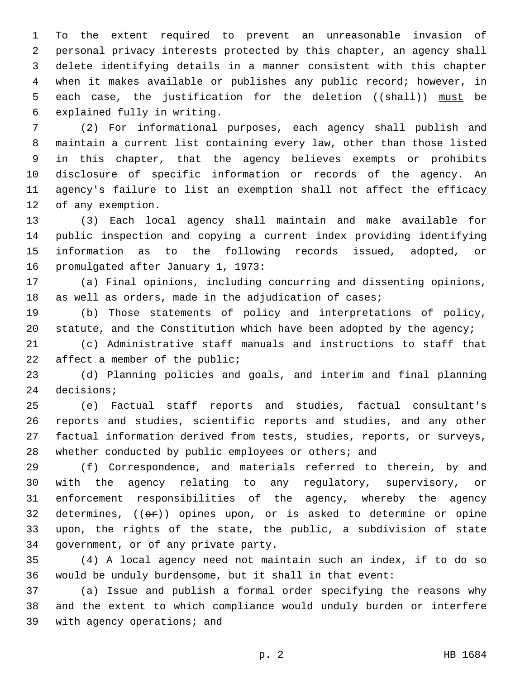To the extent required to prevent an unreasonable invasion of personal privacy interests protected by this chapter, an agency shall delete identifying details in a manner consistent with this chapter when it makes available or publishes any public record; however, in 5 each case, the justification for the deletion ((shall)) must be 6 explained fully in writing.

 (2) For informational purposes, each agency shall publish and maintain a current list containing every law, other than those listed in this chapter, that the agency believes exempts or prohibits disclosure of specific information or records of the agency. An agency's failure to list an exemption shall not affect the efficacy 12 of any exemption.

 (3) Each local agency shall maintain and make available for public inspection and copying a current index providing identifying information as to the following records issued, adopted, or 16 promulgated after January 1, 1973:

 (a) Final opinions, including concurring and dissenting opinions, 18 as well as orders, made in the adjudication of cases;

 (b) Those statements of policy and interpretations of policy, 20 statute, and the Constitution which have been adopted by the agency;

 (c) Administrative staff manuals and instructions to staff that 22 affect a member of the public;

 (d) Planning policies and goals, and interim and final planning 24 decisions;

 (e) Factual staff reports and studies, factual consultant's reports and studies, scientific reports and studies, and any other factual information derived from tests, studies, reports, or surveys, 28 whether conducted by public employees or others; and

 (f) Correspondence, and materials referred to therein, by and with the agency relating to any regulatory, supervisory, or enforcement responsibilities of the agency, whereby the agency 32 determines,  $((e<sub>F</sub>))$  opines upon, or is asked to determine or opine upon, the rights of the state, the public, a subdivision of state 34 government, or of any private party.

 (4) A local agency need not maintain such an index, if to do so would be unduly burdensome, but it shall in that event:

 (a) Issue and publish a formal order specifying the reasons why and the extent to which compliance would unduly burden or interfere 39 with agency operations; and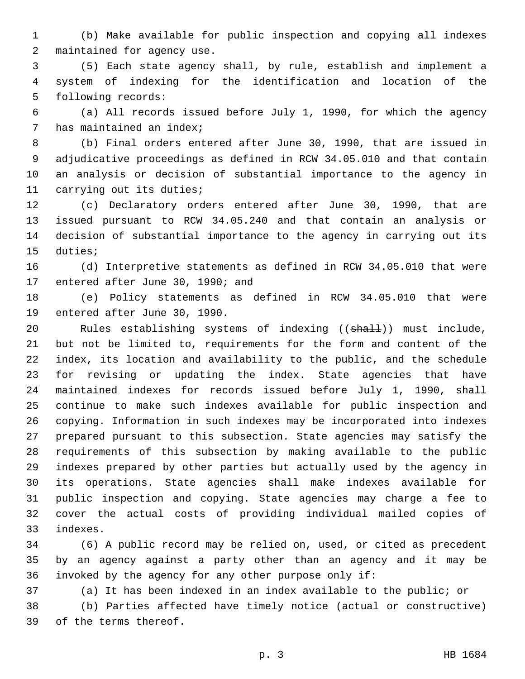(b) Make available for public inspection and copying all indexes 2 maintained for agency use.

 (5) Each state agency shall, by rule, establish and implement a system of indexing for the identification and location of the 5 following records:

 (a) All records issued before July 1, 1990, for which the agency 7 has maintained an index;

 (b) Final orders entered after June 30, 1990, that are issued in adjudicative proceedings as defined in RCW 34.05.010 and that contain an analysis or decision of substantial importance to the agency in 11 carrying out its duties;

 (c) Declaratory orders entered after June 30, 1990, that are issued pursuant to RCW 34.05.240 and that contain an analysis or decision of substantial importance to the agency in carrying out its 15 duties;

 (d) Interpretive statements as defined in RCW 34.05.010 that were 17 entered after June 30, 1990; and

 (e) Policy statements as defined in RCW 34.05.010 that were 19 entered after June 30, 1990.

20 Rules establishing systems of indexing ((shall)) must include, but not be limited to, requirements for the form and content of the index, its location and availability to the public, and the schedule for revising or updating the index. State agencies that have maintained indexes for records issued before July 1, 1990, shall continue to make such indexes available for public inspection and copying. Information in such indexes may be incorporated into indexes prepared pursuant to this subsection. State agencies may satisfy the requirements of this subsection by making available to the public indexes prepared by other parties but actually used by the agency in its operations. State agencies shall make indexes available for public inspection and copying. State agencies may charge a fee to cover the actual costs of providing individual mailed copies of indexes.33

 (6) A public record may be relied on, used, or cited as precedent by an agency against a party other than an agency and it may be invoked by the agency for any other purpose only if:

(a) It has been indexed in an index available to the public; or

 (b) Parties affected have timely notice (actual or constructive) 39 of the terms thereof.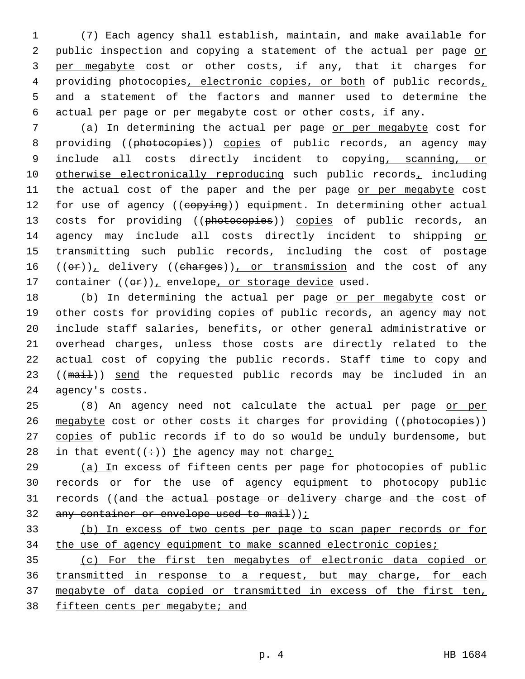(7) Each agency shall establish, maintain, and make available for 2 public inspection and copying a statement of the actual per page or per megabyte cost or other costs, if any, that it charges for 4 providing photocopies, electronic copies, or both of public records, and a statement of the factors and manner used to determine the actual per page or per megabyte cost or other costs, if any.

7 (a) In determining the actual per page or per megabyte cost for 8 providing ((photocopies)) copies of public records, an agency may 9 include all costs directly incident to copying, scanning, or 10 otherwise electronically reproducing such public records, including 11 the actual cost of the paper and the per page or per megabyte cost 12 for use of agency ((copying)) equipment. In determining other actual 13 costs for providing ((photocopies)) copies of public records, an 14 agency may include all costs directly incident to shipping or 15 transmitting such public records, including the cost of postage 16  $((\theta \cdot \mathbf{r}))$ <sub>1</sub> delivery  $((\theta \cdot \theta \cdot \mathbf{r}))$ <sub>1</sub> or transmission and the cost of any 17 container  $((\theta \cdot \mathbf{r}))_+$  envelope, or storage device used.

18 (b) In determining the actual per page or per megabyte cost or 19 other costs for providing copies of public records, an agency may not 20 include staff salaries, benefits, or other general administrative or 21 overhead charges, unless those costs are directly related to the 22 actual cost of copying the public records. Staff time to copy and 23 ((mail)) send the requested public records may be included in an 24 agency's costs.

25 (8) An agency need not calculate the actual per page or per 26 megabyte cost or other costs it charges for providing ((photocopies)) 27 copies of public records if to do so would be unduly burdensome, but 28 in that event( $(+)$ ) the agency may not charge:

29 (a) In excess of fifteen cents per page for photocopies of public 30 records or for the use of agency equipment to photocopy public 31 records ((and the actual postage or delivery charge and the cost of 32 any container or envelope used to mail));

33 (b) In excess of two cents per page to scan paper records or for 34 the use of agency equipment to make scanned electronic copies;

 (c) For the first ten megabytes of electronic data copied or transmitted in response to a request, but may charge, for each 37 megabyte of data copied or transmitted in excess of the first ten, fifteen cents per megabyte; and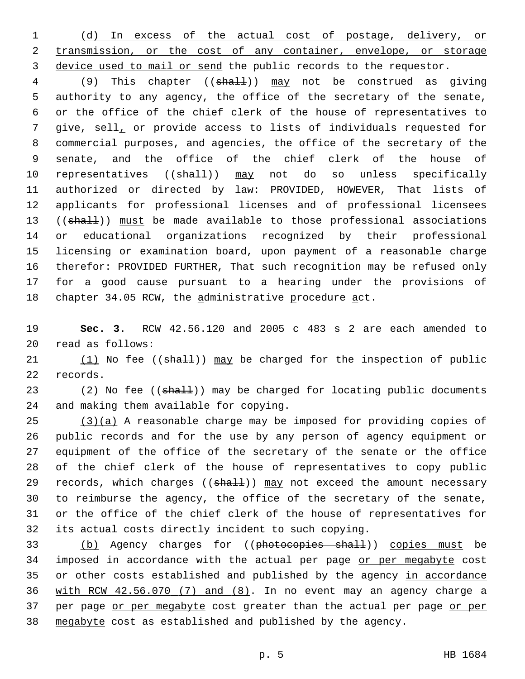1 (d) In excess of the actual cost of postage, delivery, or 2 transmission, or the cost of any container, envelope, or storage 3 device used to mail or send the public records to the requestor.

4 (9) This chapter ((shall)) may not be construed as giving authority to any agency, the office of the secretary of the senate, or the office of the chief clerk of the house of representatives to give, sell, or provide access to lists of individuals requested for commercial purposes, and agencies, the office of the secretary of the senate, and the office of the chief clerk of the house of 10 representatives ((shall)) may not do so unless specifically authorized or directed by law: PROVIDED, HOWEVER, That lists of applicants for professional licenses and of professional licensees 13 ((shall)) must be made available to those professional associations or educational organizations recognized by their professional licensing or examination board, upon payment of a reasonable charge therefor: PROVIDED FURTHER, That such recognition may be refused only for a good cause pursuant to a hearing under the provisions of 18 chapter 34.05 RCW, the administrative procedure act.

19 **Sec. 3.** RCW 42.56.120 and 2005 c 483 s 2 are each amended to read as follows:20

21  $(1)$  No fee (( $shall$ )) may be charged for the inspection of public 22 records.

23 (2) No fee ((shall)) may be charged for locating public documents 24 and making them available for copying.

 $(3)(a)$  A reasonable charge may be imposed for providing copies of public records and for the use by any person of agency equipment or equipment of the office of the secretary of the senate or the office of the chief clerk of the house of representatives to copy public 29 records, which charges ((shall)) may not exceed the amount necessary to reimburse the agency, the office of the secretary of the senate, or the office of the chief clerk of the house of representatives for its actual costs directly incident to such copying.

33 (b) Agency charges for ((photocopies shall)) copies must be 34 imposed in accordance with the actual per page or per megabyte cost 35 or other costs established and published by the agency in accordance 36 with RCW 42.56.070 (7) and (8). In no event may an agency charge a 37 per page or per megabyte cost greater than the actual per page or per 38 megabyte cost as established and published by the agency.